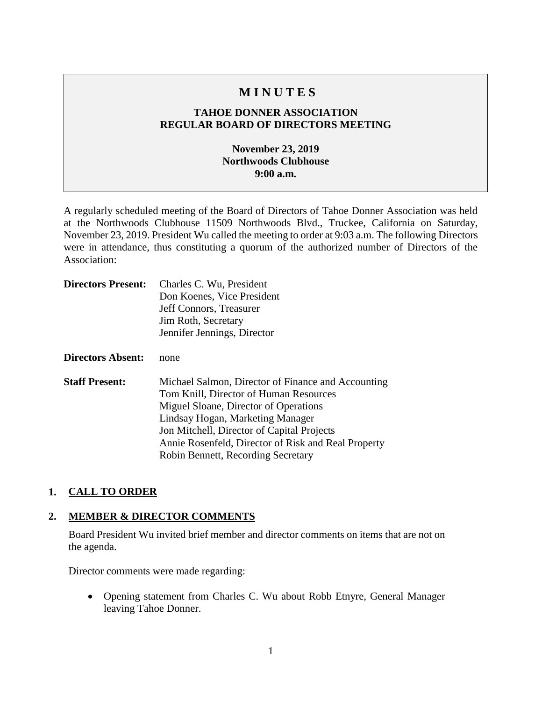# **M I N U T E S**

## **TAHOE DONNER ASSOCIATION REGULAR BOARD OF DIRECTORS MEETING**

## **November 23, 2019 Northwoods Clubhouse 9:00 a.m.**

A regularly scheduled meeting of the Board of Directors of Tahoe Donner Association was held at the Northwoods Clubhouse 11509 Northwoods Blvd., Truckee, California on Saturday, November 23, 2019. President Wu called the meeting to order at 9:03 a.m. The following Directors were in attendance, thus constituting a quorum of the authorized number of Directors of the Association:

| <b>Directors Present:</b> | Charles C. Wu, President                                                                                                                                                                                                                                                                                             |
|---------------------------|----------------------------------------------------------------------------------------------------------------------------------------------------------------------------------------------------------------------------------------------------------------------------------------------------------------------|
|                           | Don Koenes, Vice President                                                                                                                                                                                                                                                                                           |
|                           | Jeff Connors, Treasurer                                                                                                                                                                                                                                                                                              |
|                           | Jim Roth, Secretary                                                                                                                                                                                                                                                                                                  |
|                           | Jennifer Jennings, Director                                                                                                                                                                                                                                                                                          |
| <b>Directors Absent:</b>  | none                                                                                                                                                                                                                                                                                                                 |
| <b>Staff Present:</b>     | Michael Salmon, Director of Finance and Accounting<br>Tom Knill, Director of Human Resources<br>Miguel Sloane, Director of Operations<br>Lindsay Hogan, Marketing Manager<br>Jon Mitchell, Director of Capital Projects<br>Annie Rosenfeld, Director of Risk and Real Property<br>Robin Bennett, Recording Secretary |

#### **1. CALL TO ORDER**

#### **2. MEMBER & DIRECTOR COMMENTS**

Board President Wu invited brief member and director comments on items that are not on the agenda.

Director comments were made regarding:

• Opening statement from Charles C. Wu about Robb Etnyre, General Manager leaving Tahoe Donner.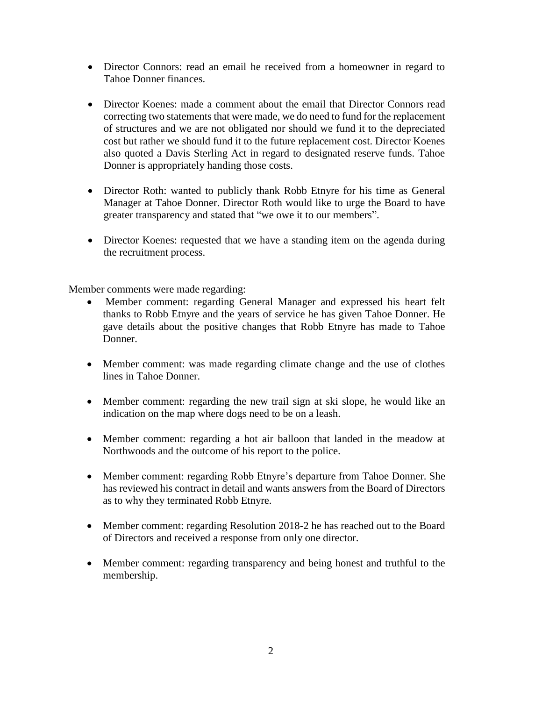- Director Connors: read an email he received from a homeowner in regard to Tahoe Donner finances.
- Director Koenes: made a comment about the email that Director Connors read correcting two statements that were made, we do need to fund for the replacement of structures and we are not obligated nor should we fund it to the depreciated cost but rather we should fund it to the future replacement cost. Director Koenes also quoted a Davis Sterling Act in regard to designated reserve funds. Tahoe Donner is appropriately handing those costs.
- Director Roth: wanted to publicly thank Robb Etnyre for his time as General Manager at Tahoe Donner. Director Roth would like to urge the Board to have greater transparency and stated that "we owe it to our members".
- Director Koenes: requested that we have a standing item on the agenda during the recruitment process.

Member comments were made regarding:

- Member comment: regarding General Manager and expressed his heart felt thanks to Robb Etnyre and the years of service he has given Tahoe Donner. He gave details about the positive changes that Robb Etnyre has made to Tahoe Donner.
- Member comment: was made regarding climate change and the use of clothes lines in Tahoe Donner.
- Member comment: regarding the new trail sign at ski slope, he would like an indication on the map where dogs need to be on a leash.
- Member comment: regarding a hot air balloon that landed in the meadow at Northwoods and the outcome of his report to the police.
- Member comment: regarding Robb Etnyre's departure from Tahoe Donner. She has reviewed his contract in detail and wants answers from the Board of Directors as to why they terminated Robb Etnyre.
- Member comment: regarding Resolution 2018-2 he has reached out to the Board of Directors and received a response from only one director.
- Member comment: regarding transparency and being honest and truthful to the membership.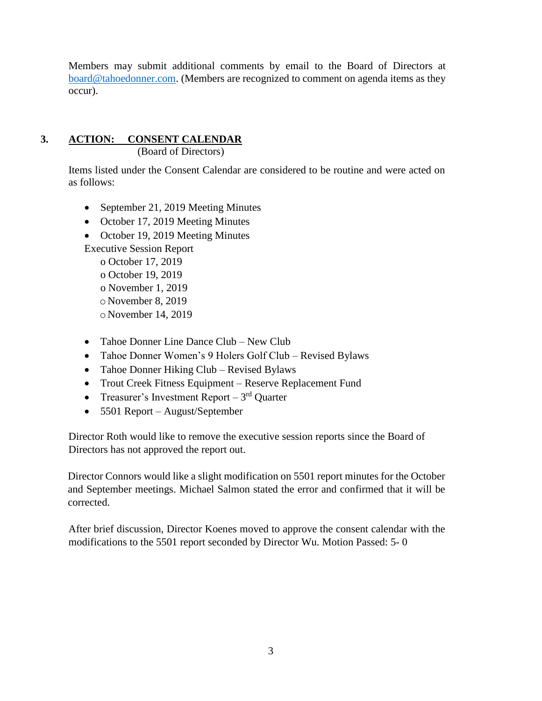Members may submit additional comments by email to the Board of Directors at [board@tahoedonner.com.](mailto:board@tahoedonner.com) (Members are recognized to comment on agenda items as they occur).

# **3. ACTION: CONSENT CALENDAR**

(Board of Directors)

Items listed under the Consent Calendar are considered to be routine and were acted on as follows:

- September 21, 2019 Meeting Minutes
- October 17, 2019 Meeting Minutes
- October 19, 2019 Meeting Minutes

Executive Session Report o October 17, 2019

- o October 19, 2019 o November 1, 2019 o November 8, 2019
- o November 14, 2019
- Tahoe Donner Line Dance Club New Club
- Tahoe Donner Women's 9 Holers Golf Club Revised Bylaws
- Tahoe Donner Hiking Club Revised Bylaws
- Trout Creek Fitness Equipment Reserve Replacement Fund
- Treasurer's Investment Report  $3<sup>rd</sup>$  Quarter
- 5501 Report August/September

Director Roth would like to remove the executive session reports since the Board of Directors has not approved the report out.

Director Connors would like a slight modification on 5501 report minutes for the October and September meetings. Michael Salmon stated the error and confirmed that it will be corrected.

After brief discussion, Director Koenes moved to approve the consent calendar with the modifications to the 5501 report seconded by Director Wu. Motion Passed: 5- 0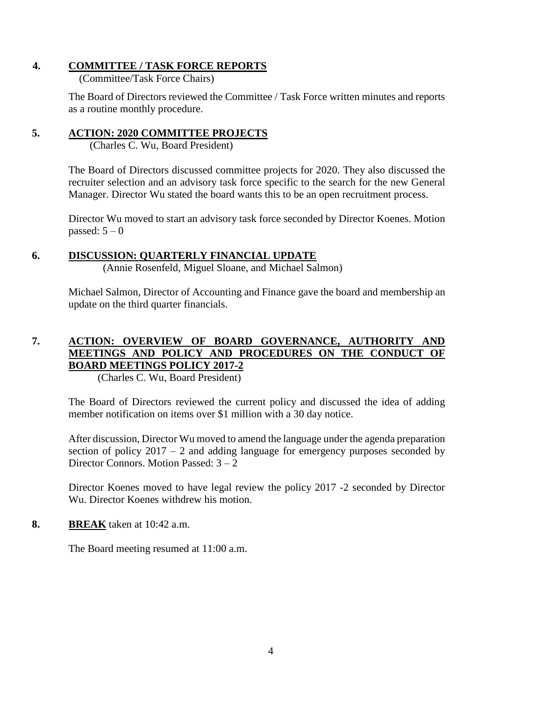## **4. COMMITTEE / TASK FORCE REPORTS**

(Committee/Task Force Chairs)

The Board of Directors reviewed the Committee / Task Force written minutes and reports as a routine monthly procedure.

## **5. ACTION: 2020 COMMITTEE PROJECTS**

(Charles C. Wu, Board President)

The Board of Directors discussed committee projects for 2020. They also discussed the recruiter selection and an advisory task force specific to the search for the new General Manager. Director Wu stated the board wants this to be an open recruitment process.

Director Wu moved to start an advisory task force seconded by Director Koenes. Motion passed:  $5-0$ 

## **6. DISCUSSION: QUARTERLY FINANCIAL UPDATE**

(Annie Rosenfeld, Miguel Sloane, and Michael Salmon)

Michael Salmon, Director of Accounting and Finance gave the board and membership an update on the third quarter financials.

## **7. ACTION: OVERVIEW OF BOARD GOVERNANCE, AUTHORITY AND MEETINGS AND POLICY AND PROCEDURES ON THE CONDUCT OF BOARD MEETINGS POLICY 2017-2**

(Charles C. Wu, Board President)

The Board of Directors reviewed the current policy and discussed the idea of adding member notification on items over \$1 million with a 30 day notice.

After discussion, Director Wu moved to amend the language under the agenda preparation section of policy  $2017 - 2$  and adding language for emergency purposes seconded by Director Connors. Motion Passed: 3 – 2

Director Koenes moved to have legal review the policy 2017 -2 seconded by Director Wu. Director Koenes withdrew his motion.

## **8. BREAK** taken at 10:42 a.m.

The Board meeting resumed at 11:00 a.m.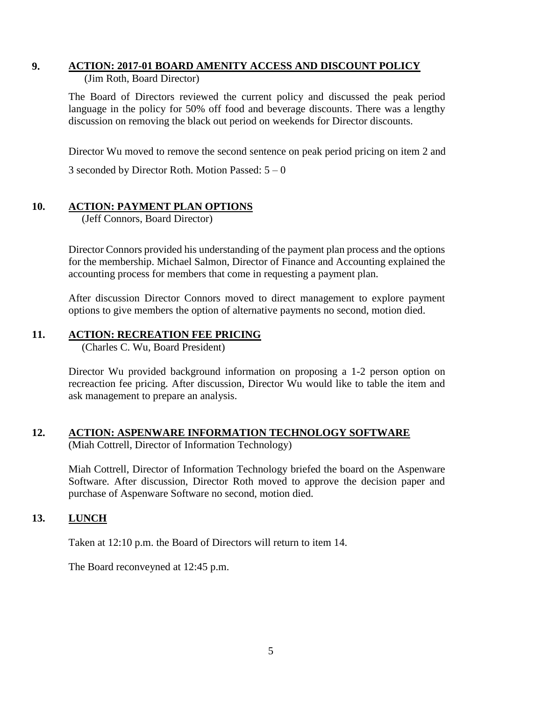#### **9. ACTION: 2017-01 BOARD AMENITY ACCESS AND DISCOUNT POLICY** (Jim Roth, Board Director)

The Board of Directors reviewed the current policy and discussed the peak period language in the policy for 50% off food and beverage discounts. There was a lengthy discussion on removing the black out period on weekends for Director discounts.

Director Wu moved to remove the second sentence on peak period pricing on item 2 and

3 seconded by Director Roth. Motion Passed:  $5-0$ 

## **10. ACTION: PAYMENT PLAN OPTIONS**

(Jeff Connors, Board Director)

Director Connors provided his understanding of the payment plan process and the options for the membership. Michael Salmon, Director of Finance and Accounting explained the accounting process for members that come in requesting a payment plan.

After discussion Director Connors moved to direct management to explore payment options to give members the option of alternative payments no second, motion died.

## **11. ACTION: RECREATION FEE PRICING**

(Charles C. Wu, Board President)

Director Wu provided background information on proposing a 1-2 person option on recreaction fee pricing. After discussion, Director Wu would like to table the item and ask management to prepare an analysis.

# **12. ACTION: ASPENWARE INFORMATION TECHNOLOGY SOFTWARE**

(Miah Cottrell, Director of Information Technology)

Miah Cottrell, Director of Information Technology briefed the board on the Aspenware Software. After discussion, Director Roth moved to approve the decision paper and purchase of Aspenware Software no second, motion died.

## **13. LUNCH**

Taken at 12:10 p.m. the Board of Directors will return to item 14.

The Board reconveyned at 12:45 p.m.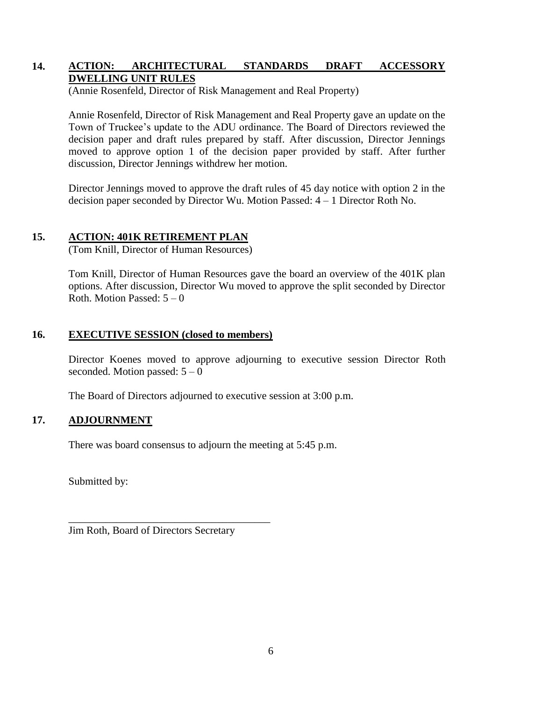## **14. ACTION: ARCHITECTURAL STANDARDS DRAFT ACCESSORY DWELLING UNIT RULES**

(Annie Rosenfeld, Director of Risk Management and Real Property)

Annie Rosenfeld, Director of Risk Management and Real Property gave an update on the Town of Truckee's update to the ADU ordinance. The Board of Directors reviewed the decision paper and draft rules prepared by staff. After discussion, Director Jennings moved to approve option 1 of the decision paper provided by staff. After further discussion, Director Jennings withdrew her motion.

Director Jennings moved to approve the draft rules of 45 day notice with option 2 in the decision paper seconded by Director Wu. Motion Passed: 4 – 1 Director Roth No.

## **15. ACTION: 401K RETIREMENT PLAN**

(Tom Knill, Director of Human Resources)

Tom Knill, Director of Human Resources gave the board an overview of the 401K plan options. After discussion, Director Wu moved to approve the split seconded by Director Roth. Motion Passed:  $5 - 0$ 

#### **16. EXECUTIVE SESSION (closed to members)**

Director Koenes moved to approve adjourning to executive session Director Roth seconded. Motion passed:  $5 - 0$ 

The Board of Directors adjourned to executive session at 3:00 p.m.

## **17. ADJOURNMENT**

There was board consensus to adjourn the meeting at 5:45 p.m.

Submitted by:

Jim Roth, Board of Directors Secretary

\_\_\_\_\_\_\_\_\_\_\_\_\_\_\_\_\_\_\_\_\_\_\_\_\_\_\_\_\_\_\_\_\_\_\_\_\_\_